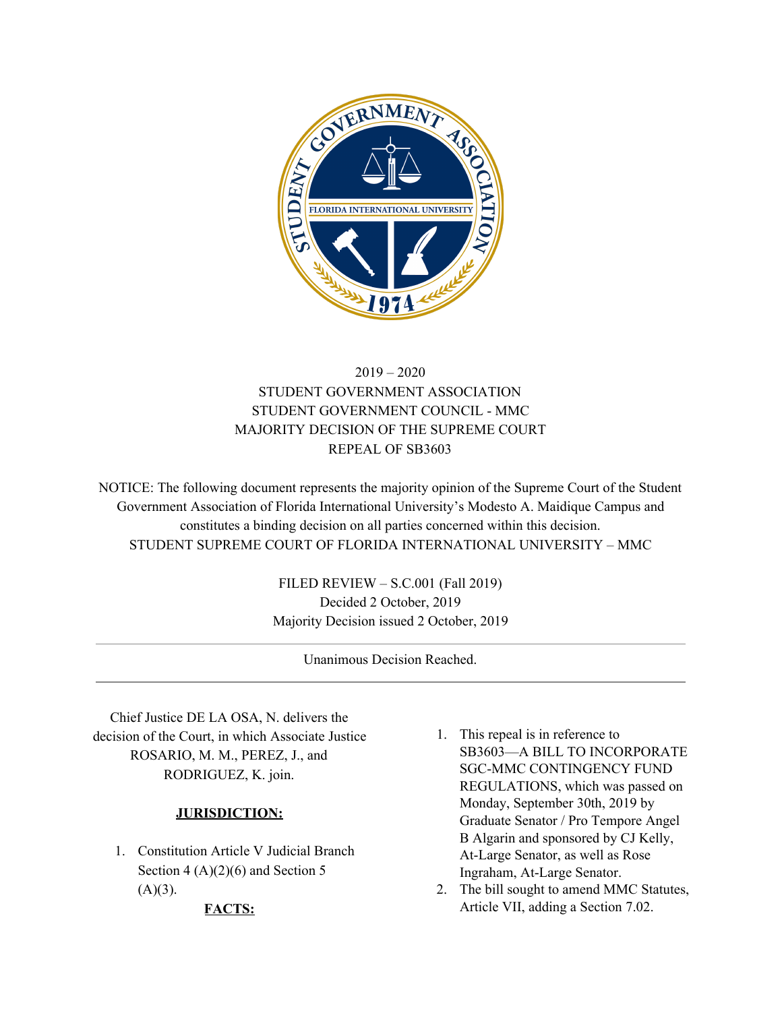

# 2019 – 2020 STUDENT GOVERNMENT ASSOCIATION STUDENT GOVERNMENT COUNCIL - MMC MAJORITY DECISION OF THE SUPREME COURT REPEAL OF SB3603

NOTICE: The following document represents the majority opinion of the Supreme Court of the Student Government Association of Florida International University's Modesto A. Maidique Campus and constitutes a binding decision on all parties concerned within this decision. STUDENT SUPREME COURT OF FLORIDA INTERNATIONAL UNIVERSITY – MMC

> FILED REVIEW – S.C.001 (Fall 2019) Decided 2 October, 2019 Majority Decision issued 2 October, 2019

> > Unanimous Decision Reached.

Chief Justice DE LA OSA, N. delivers the decision of the Court, in which Associate Justice ROSARIO, M. M., PEREZ, J., and RODRIGUEZ, K. join.

# **JURISDICTION:**

1. Constitution Article V Judicial Branch Section  $4(A)(2)(6)$  and Section 5  $(A)(3)$ .

#### **FACTS:**

- 1. This repeal is in reference to SB3603—A BILL TO INCORPORATE SGC-MMC CONTINGENCY FUND REGULATIONS, which was passed on Monday, September 30th, 2019 by Graduate Senator / Pro Tempore Angel B Algarin and sponsored by CJ Kelly, At-Large Senator, as well as Rose Ingraham, At-Large Senator.
- 2. The bill sought to amend MMC Statutes, Article VII, adding a Section 7.02.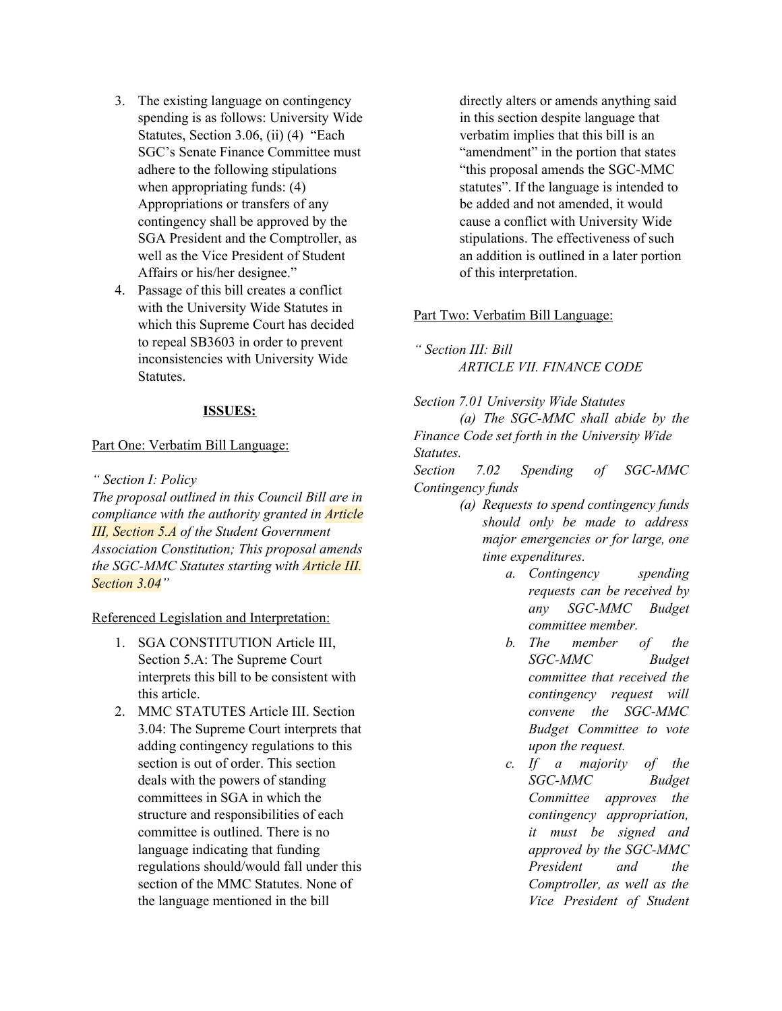- 3. The existing language on contingency spending is as follows: University Wide Statutes, Section 3.06, (ii) (4) "Each SGC's Senate Finance Committee must adhere to the following stipulations when appropriating funds: (4) Appropriations or transfers of any contingency shall be approved by the SGA President and the Comptroller, as well as the Vice President of Student Affairs or his/her designee."
- 4. Passage of this bill creates a conflict with the University Wide Statutes in which this Supreme Court has decided to repeal SB3603 in order to prevent inconsistencies with University Wide Statutes.

#### **ISSUES:**

#### Part One: Verbatim Bill Language:

*" Section I: Policy*

*The proposal outlined in this Council Bill are in compliance with the authority granted in Article III, Section 5.A of the Student Government Association Constitution; This proposal amends the SGC-MMC Statutes starting with Article III. Section 3.04"*

## Referenced Legislation and Interpretation:

- 1. SGA CONSTITUTION Article III, Section 5.A: The Supreme Court interprets this bill to be consistent with this article.
- 2. MMC STATUTES Article III. Section 3.04: The Supreme Court interprets that adding contingency regulations to this section is out of order. This section deals with the powers of standing committees in SGA in which the structure and responsibilities of each committee is outlined. There is no language indicating that funding regulations should/would fall under this section of the MMC Statutes. None of the language mentioned in the bill

directly alters or amends anything said in this section despite language that verbatim implies that this bill is an "amendment" in the portion that states "this proposal amends the SGC-MMC statutes". If the language is intended to be added and not amended, it would cause a conflict with University Wide stipulations. The effectiveness of such an addition is outlined in a later portion of this interpretation.

#### Part Two: Verbatim Bill Language:

*" Section III: Bill ARTICLE VII. FINANCE CODE*

*Section 7.01 University Wide Statutes (a) The SGC-MMC shall abide by the Finance Code set forth in the University Wide Statutes.*

*Section 7.02 Spending of SGC-MMC Contingency funds*

- *(a) Requests to spend contingency funds should only be made to address major emergencies or for large, one time expenditures.*
	- *a. Contingency spending requests can be received by any SGC-MMC Budget committee member.*
	- *b. The member of the SGC-MMC Budget committee that received the contingency request will convene the SGC-MMC Budget Committee to vote upon the request.*
	- *c. If a majority of the SGC-MMC Budget Committee approves the contingency appropriation, it must be signed and approved by the SGC-MMC President and the Comptroller, as well as the Vice President of Student*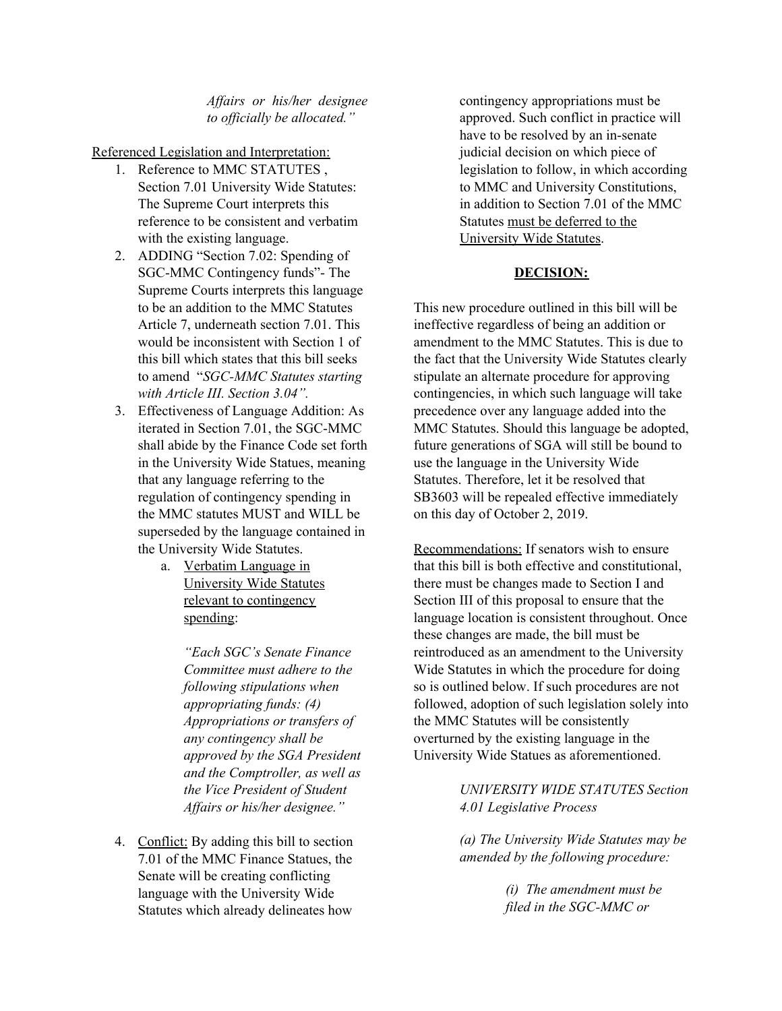# *Af airs or his/her designee to of icially be allocated."*

Referenced Legislation and Interpretation:

- 1. Reference to MMC STATUTES , Section 7.01 University Wide Statutes: The Supreme Court interprets this reference to be consistent and verbatim with the existing language.
- 2. ADDING "Section 7.02: Spending of SGC-MMC Contingency funds"- The Supreme Courts interprets this language to be an addition to the MMC Statutes Article 7, underneath section 7.01. This would be inconsistent with Section 1 of this bill which states that this bill seeks to amend "*SGC-MMC Statutes starting with Article III. Section 3.04".*
- 3. Effectiveness of Language Addition: As iterated in Section 7.01, the SGC-MMC shall abide by the Finance Code set forth in the University Wide Statues, meaning that any language referring to the regulation of contingency spending in the MMC statutes MUST and WILL be superseded by the language contained in the University Wide Statutes.
	- a. Verbatim Language in University Wide Statutes relevant to contingency spending:

*"Each SGC's Senate Finance Committee must adhere to the following stipulations when appropriating funds: (4) Appropriations or transfers of any contingency shall be approved by the SGA President and the Comptroller, as well as the Vice President of Student Af airs or his/her designee."*

4. Conflict: By adding this bill to section 7.01 of the MMC Finance Statues, the Senate will be creating conflicting language with the University Wide Statutes which already delineates how

contingency appropriations must be approved. Such conflict in practice will have to be resolved by an in-senate judicial decision on which piece of legislation to follow, in which according to MMC and University Constitutions, in addition to Section 7.01 of the MMC Statutes must be deferred to the University Wide Statutes.

# **DECISION:**

This new procedure outlined in this bill will be ineffective regardless of being an addition or amendment to the MMC Statutes. This is due to the fact that the University Wide Statutes clearly stipulate an alternate procedure for approving contingencies, in which such language will take precedence over any language added into the MMC Statutes. Should this language be adopted, future generations of SGA will still be bound to use the language in the University Wide Statutes. Therefore, let it be resolved that SB3603 will be repealed effective immediately on this day of October 2, 2019.

Recommendations: If senators wish to ensure that this bill is both effective and constitutional, there must be changes made to Section I and Section III of this proposal to ensure that the language location is consistent throughout. Once these changes are made, the bill must be reintroduced as an amendment to the University Wide Statutes in which the procedure for doing so is outlined below. If such procedures are not followed, adoption of such legislation solely into the MMC Statutes will be consistently overturned by the existing language in the University Wide Statues as aforementioned.

> *UNIVERSITY WIDE STATUTES Section 4.01 Legislative Process*

> *(a) The University Wide Statutes may be amended by the following procedure:*

> > *(i) The amendment must be filed in the SGC-MMC or*